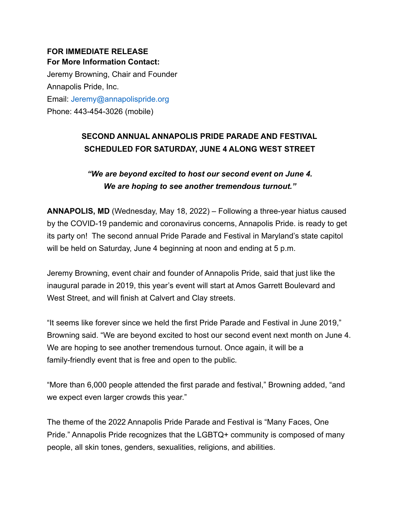## **FOR IMMEDIATE RELEASE For More Information Contact:**

Jeremy Browning, Chair and Founder Annapolis Pride, Inc. Email: Jeremy@annapolispride.org Phone: 443-454-3026 (mobile)

## **SECOND ANNUAL ANNAPOLIS PRIDE PARADE AND FESTIVAL SCHEDULED FOR SATURDAY, JUNE 4 ALONG WEST STREET**

*"We are beyond excited to host our second event on June 4. We are hoping to see another tremendous turnout."*

**ANNAPOLIS, MD** (Wednesday, May 18, 2022) – Following a three-year hiatus caused by the COVID-19 pandemic and coronavirus concerns, Annapolis Pride. is ready to get its party on! The second annual Pride Parade and Festival in Maryland's state capitol will be held on Saturday, June 4 beginning at noon and ending at 5 p.m.

Jeremy Browning, event chair and founder of Annapolis Pride, said that just like the inaugural parade in 2019, this year's event will start at Amos Garrett Boulevard and West Street, and will finish at Calvert and Clay streets.

"It seems like forever since we held the first Pride Parade and Festival in June 2019," Browning said. "We are beyond excited to host our second event next month on June 4. We are hoping to see another tremendous turnout. Once again, it will be a family-friendly event that is free and open to the public.

"More than 6,000 people attended the first parade and festival," Browning added, "and we expect even larger crowds this year."

The theme of the 2022 Annapolis Pride Parade and Festival is "Many Faces, One Pride." Annapolis Pride recognizes that the LGBTQ+ community is composed of many people, all skin tones, genders, sexualities, religions, and abilities.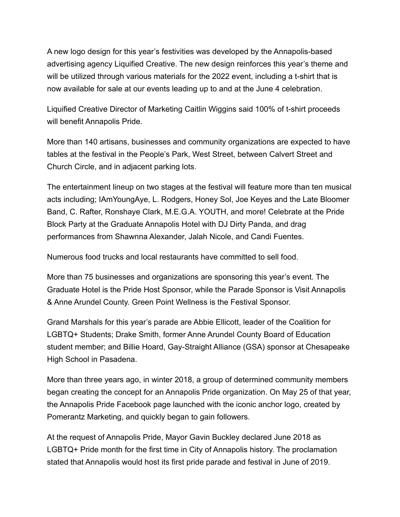A new logo design for this year's festivities was developed by the Annapolis-based advertising agency Liquified Creative. The new design reinforces this year's theme and will be utilized through various materials for the 2022 event, including a t-shirt that is now available for sale at our events leading up to and at the June 4 celebration.

Liquified Creative Director of Marketing Caitlin Wiggins said 100% of t-shirt proceeds will benefit Annapolis Pride.

More than 140 artisans, businesses and community organizations are expected to have tables at the festival in the People's Park, West Street, between Calvert Street and Church Circle, and in adjacent parking lots.

The entertainment lineup on two stages at the festival will feature more than ten musical acts including; IAmYoungAye, L. Rodgers, Honey Sol, Joe Keyes and the Late Bloomer Band, C. Rafter, Ronshaye Clark, M.E.G.A. YOUTH, and more! Celebrate at the Pride Block Party at the Graduate Annapolis Hotel with DJ Dirty Panda, and drag performances from Shawnna Alexander, Jalah Nicole, and Candi Fuentes.

Numerous food trucks and local restaurants have committed to sell food.

More than 75 businesses and organizations are sponsoring this year's event. The Graduate Hotel is the Pride Host Sponsor, while the Parade Sponsor is Visit Annapolis & Anne Arundel County. Green Point Wellness is the Festival Sponsor.

Grand Marshals for this year's parade are Abbie Ellicott, leader of the Coalition for LGBTQ+ Students; Drake Smith, former Anne Arundel County Board of Education student member; and Billie Hoard, Gay-Straight Alliance (GSA) sponsor at Chesapeake High School in Pasadena.

More than three years ago, in winter 2018, a group of determined community members began creating the concept for an Annapolis Pride organization. On May 25 of that year, the Annapolis Pride Facebook page launched with the iconic anchor logo, created by Pomerantz Marketing, and quickly began to gain followers.

At the request of Annapolis Pride, Mayor Gavin Buckley declared June 2018 as LGBTQ+ Pride month for the first time in City of Annapolis history. The proclamation stated that Annapolis would host its first pride parade and festival in June of 2019.